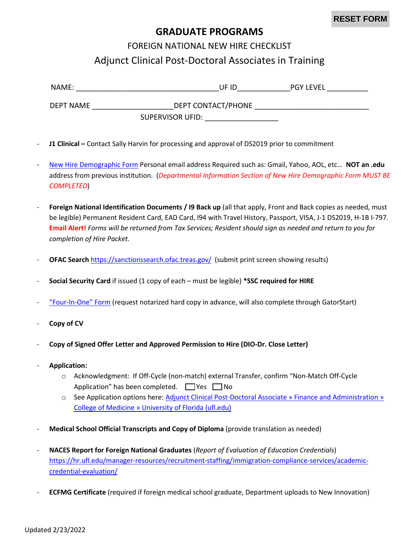## **GRADUATE PROGRAMS**

## FOREIGN NATIONAL NEW HIRE CHECKLIST Adjunct Clinical Post-Doctoral Associates in Training

| NAME:     | UF ID              | <b>PGY LEVEL</b> |
|-----------|--------------------|------------------|
| DEPT NAME | DEPT CONTACT/PHONE |                  |
|           | SUPERVISOR UFID:   |                  |

- **J1 Clinical** Contact Sally Harvin for processing and approval of DS2019 prior to commitment
- [New Hire Demographic Form](https://hr.ufl.edu/wp-content/uploads/2018/04/demographic_form.pdf) Personal email address Required such as: Gmail, Yahoo, AOL, etc… **NOT an .edu** address from previous institution. (*Departmental Information Section of New Hire Demographic Form MUST BE COMPLETED*)
- Foreign National Identification Documents / 19 Back up (all that apply, Front and Back copies as needed, must be legible) Permanent Resident Card, EAD Card, I94 with Travel History, Passport, VISA, J-1 DS2019, H-1B I-797. **Email Alert!** *Forms will be returned from Tax Services; Resident should sign as needed and return to you for completion of Hire Packet.*
- **OFAC Search** <https://sanctionssearch.ofac.treas.gov/>(submit print screen showing results)
- **Social Security Card** if issued (1 copy of each must be legible) **\*SSC required for HIRE**
- ["Four-In-One" Form](https://hr.ufl.edu/wp-content/uploads/2018/04/fourinone.pdf) (request notarized hard copy in advance, will also complete through GatorStart)
- **Copy of CV**
- **Copy of Signed Offer Letter and Approved Permission to Hire (DIO-Dr. Close Letter)**
- **Application:** 
	- o Acknowledgment: If Off-Cycle (non-match) external Transfer, confirm "Non-Match Off-Cycle Application" has been completed.  $\Box$  Yes  $\Box$  No
	- o See Application options here: [Adjunct Clinical Post-Doctoral Associate » Finance and Administration »](https://financeadmin.med.ufl.edu/graduate-programs/academic-ops-faculty/)  [College of Medicine » University of Florida \(ufl.edu\)](https://financeadmin.med.ufl.edu/graduate-programs/academic-ops-faculty/)
- **Medical School Official Transcripts and Copy of Diploma** (provide translation as needed)
- **NACES Report for Foreign National Graduates** (*Report of Evaluation of Education Credentials*) [https://hr.ufl.edu/manager-resources/recruitment-staffing/immigration-compliance-services/academic](https://hr.ufl.edu/manager-resources/recruitment-staffing/immigration-compliance-services/academic-credential-evaluation/)[credential-evaluation/](https://hr.ufl.edu/manager-resources/recruitment-staffing/immigration-compliance-services/academic-credential-evaluation/)
- **ECFMG Certificate** (required if foreign medical school graduate, Department uploads to New Innovation)